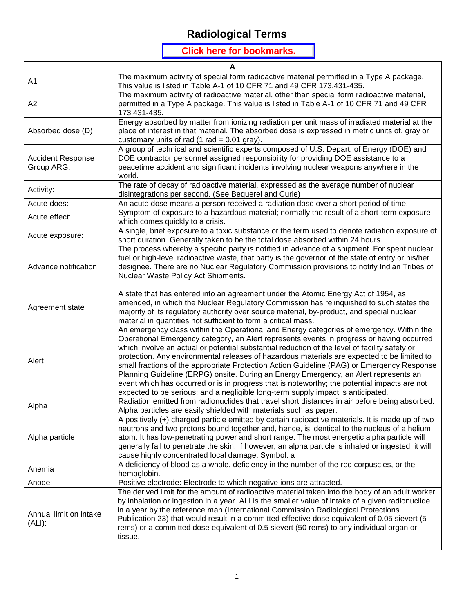#### **Click here for bookmarks.**

| A                                      |                                                                                                                                                                                                                                                                                                                                                                                                                                                                                                                                                                                                                                                                                                                                                                 |  |
|----------------------------------------|-----------------------------------------------------------------------------------------------------------------------------------------------------------------------------------------------------------------------------------------------------------------------------------------------------------------------------------------------------------------------------------------------------------------------------------------------------------------------------------------------------------------------------------------------------------------------------------------------------------------------------------------------------------------------------------------------------------------------------------------------------------------|--|
| A1                                     | The maximum activity of special form radioactive material permitted in a Type A package.<br>This value is listed in Table A-1 of 10 CFR 71 and 49 CFR 173.431-435.                                                                                                                                                                                                                                                                                                                                                                                                                                                                                                                                                                                              |  |
| A2                                     | The maximum activity of radioactive material, other than special form radioactive material,<br>permitted in a Type A package. This value is listed in Table A-1 of 10 CFR 71 and 49 CFR<br>173.431-435.                                                                                                                                                                                                                                                                                                                                                                                                                                                                                                                                                         |  |
| Absorbed dose (D)                      | Energy absorbed by matter from ionizing radiation per unit mass of irradiated material at the<br>place of interest in that material. The absorbed dose is expressed in metric units of. gray or<br>customary units of rad $(1 rad = 0.01 grav)$ .                                                                                                                                                                                                                                                                                                                                                                                                                                                                                                               |  |
| <b>Accident Response</b><br>Group ARG: | A group of technical and scientific experts composed of U.S. Depart. of Energy (DOE) and<br>DOE contractor personnel assigned responsibility for providing DOE assistance to a<br>peacetime accident and significant incidents involving nuclear weapons anywhere in the<br>world.                                                                                                                                                                                                                                                                                                                                                                                                                                                                              |  |
| Activity:                              | The rate of decay of radioactive material, expressed as the average number of nuclear<br>disintegrations per second. (See Bequerel and Curie)                                                                                                                                                                                                                                                                                                                                                                                                                                                                                                                                                                                                                   |  |
| Acute does:                            | An acute dose means a person received a radiation dose over a short period of time.                                                                                                                                                                                                                                                                                                                                                                                                                                                                                                                                                                                                                                                                             |  |
| Acute effect:                          | Symptom of exposure to a hazardous material; normally the result of a short-term exposure<br>which comes quickly to a crisis.                                                                                                                                                                                                                                                                                                                                                                                                                                                                                                                                                                                                                                   |  |
| Acute exposure:                        | A single, brief exposure to a toxic substance or the term used to denote radiation exposure of<br>short duration. Generally taken to be the total dose absorbed within 24 hours.                                                                                                                                                                                                                                                                                                                                                                                                                                                                                                                                                                                |  |
| Advance notification                   | The process whereby a specific party is notified in advance of a shipment. For spent nuclear<br>fuel or high-level radioactive waste, that party is the governor of the state of entry or his/her<br>designee. There are no Nuclear Regulatory Commission provisions to notify Indian Tribes of<br>Nuclear Waste Policy Act Shipments.                                                                                                                                                                                                                                                                                                                                                                                                                          |  |
| Agreement state                        | A state that has entered into an agreement under the Atomic Energy Act of 1954, as<br>amended, in which the Nuclear Regulatory Commission has relinquished to such states the<br>majority of its regulatory authority over source material, by-product, and special nuclear<br>material in quantities not sufficient to form a critical mass.                                                                                                                                                                                                                                                                                                                                                                                                                   |  |
| Alert                                  | An emergency class within the Operational and Energy categories of emergency. Within the<br>Operational Emergency category, an Alert represents events in progress or having occurred<br>which involve an actual or potential substantial reduction of the level of facility safety or<br>protection. Any environmental releases of hazardous materials are expected to be limited to<br>small fractions of the appropriate Protection Action Guideline (PAG) or Emergency Response<br>Planning Guideline (ERPG) onsite. During an Energy Emergency, an Alert represents an<br>event which has occurred or is in progress that is noteworthy; the potential impacts are not<br>expected to be serious; and a negligible long-term supply impact is anticipated. |  |
| Alpha                                  | Radiation emitted from radionuclides that travel short distances in air before being absorbed.<br>Alpha particles are easily shielded with materials such as paper.                                                                                                                                                                                                                                                                                                                                                                                                                                                                                                                                                                                             |  |
| Alpha particle                         | A positively (+) charged particle emitted by certain radioactive materials. It is made up of two<br>neutrons and two protons bound together and, hence, is identical to the nucleus of a helium<br>atom. It has low-penetrating power and short range. The most energetic alpha particle will<br>generally fail to penetrate the skin. If however, an alpha particle is inhaled or ingested, it will<br>cause highly concentrated local damage. Symbol: a                                                                                                                                                                                                                                                                                                       |  |
| Anemia                                 | A deficiency of blood as a whole, deficiency in the number of the red corpuscles, or the<br>hemoglobin.                                                                                                                                                                                                                                                                                                                                                                                                                                                                                                                                                                                                                                                         |  |
| Anode:                                 | Positive electrode: Electrode to which negative ions are attracted.                                                                                                                                                                                                                                                                                                                                                                                                                                                                                                                                                                                                                                                                                             |  |
| Annual limit on intake<br>(ALI):       | The derived limit for the amount of radioactive material taken into the body of an adult worker<br>by inhalation or ingestion in a year. ALI is the smaller value of intake of a given radionuclide<br>in a year by the reference man (International Commission Radiological Protections<br>Publication 23) that would result in a committed effective dose equivalent of 0.05 sievert (5<br>rems) or a committed dose equivalent of 0.5 sievert (50 rems) to any individual organ or<br>tissue.                                                                                                                                                                                                                                                                |  |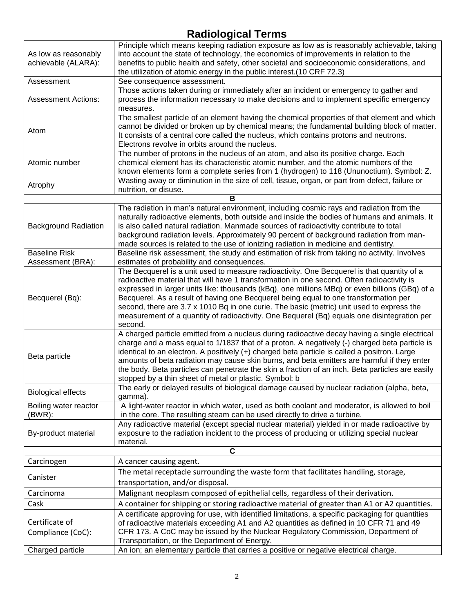| As low as reasonably<br>achievable (ALARA): | Principle which means keeping radiation exposure as low as is reasonably achievable, taking<br>into account the state of technology, the economics of improvements in relation to the<br>benefits to public health and safety, other societal and socioeconomic considerations, and<br>the utilization of atomic energy in the public interest.(10 CRF 72.3)                                                                                                                                                                                                                              |  |
|---------------------------------------------|-------------------------------------------------------------------------------------------------------------------------------------------------------------------------------------------------------------------------------------------------------------------------------------------------------------------------------------------------------------------------------------------------------------------------------------------------------------------------------------------------------------------------------------------------------------------------------------------|--|
| Assessment                                  | See consequence assessment.                                                                                                                                                                                                                                                                                                                                                                                                                                                                                                                                                               |  |
| <b>Assessment Actions:</b>                  | Those actions taken during or immediately after an incident or emergency to gather and<br>process the information necessary to make decisions and to implement specific emergency<br>measures.                                                                                                                                                                                                                                                                                                                                                                                            |  |
| Atom                                        | The smallest particle of an element having the chemical properties of that element and which<br>cannot be divided or broken up by chemical means; the fundamental building block of matter.<br>It consists of a central core called the nucleus, which contains protons and neutrons.<br>Electrons revolve in orbits around the nucleus.                                                                                                                                                                                                                                                  |  |
| Atomic number                               | The number of protons in the nucleus of an atom, and also its positive charge. Each<br>chemical element has its characteristic atomic number, and the atomic numbers of the<br>known elements form a complete series from 1 (hydrogen) to 118 (Ununoctium). Symbol: Z.                                                                                                                                                                                                                                                                                                                    |  |
| Atrophy                                     | Wasting away or diminution in the size of cell, tissue, organ, or part from defect, failure or<br>nutrition, or disuse.                                                                                                                                                                                                                                                                                                                                                                                                                                                                   |  |
|                                             | В                                                                                                                                                                                                                                                                                                                                                                                                                                                                                                                                                                                         |  |
| <b>Background Radiation</b>                 | The radiation in man's natural environment, including cosmic rays and radiation from the<br>naturally radioactive elements, both outside and inside the bodies of humans and animals. It<br>is also called natural radiation. Manmade sources of radioactivity contribute to total<br>background radiation levels. Approximately 90 percent of background radiation from man-<br>made sources is related to the use of ionizing radiation in medicine and dentistry.                                                                                                                      |  |
| <b>Baseline Risk</b>                        | Baseline risk assessment, the study and estimation of risk from taking no activity. Involves                                                                                                                                                                                                                                                                                                                                                                                                                                                                                              |  |
| Assessment (BRA):                           | estimates of probability and consequences.                                                                                                                                                                                                                                                                                                                                                                                                                                                                                                                                                |  |
| Becquerel (Bq):                             | The Becquerel is a unit used to measure radioactivity. One Becquerel is that quantity of a<br>radioactive material that will have 1 transformation in one second. Often radioactivity is<br>expressed in larger units like: thousands (kBq), one millions MBq) or even billions (GBq) of a<br>Becquerel. As a result of having one Becquerel being equal to one transformation per<br>second, there are 3.7 x 1010 Bq in one curie. The basic (metric) unit used to express the<br>measurement of a quantity of radioactivity. One Bequerel (Bq) equals one disintegration per<br>second. |  |
| Beta particle                               | A charged particle emitted from a nucleus during radioactive decay having a single electrical<br>charge and a mass equal to 1/1837 that of a proton. A negatively (-) charged beta particle is<br>identical to an electron. A positively (+) charged beta particle is called a positron. Large<br>amounts of beta radiation may cause skin burns, and beta emitters are harmful if they enter<br>the body. Beta particles can penetrate the skin a fraction of an inch. Beta particles are easily<br>stopped by a thin sheet of metal or plastic. Symbol: b                               |  |
| <b>Biological effects</b>                   | The early or delayed results of biological damage caused by nuclear radiation (alpha, beta,<br>gamma).                                                                                                                                                                                                                                                                                                                                                                                                                                                                                    |  |
| Boiling water reactor<br>$(BWR)$ :          | A light-water reactor in which water, used as both coolant and moderator, is allowed to boil<br>in the core. The resulting steam can be used directly to drive a turbine.                                                                                                                                                                                                                                                                                                                                                                                                                 |  |
| By-product material                         | Any radioactive material (except special nuclear material) yielded in or made radioactive by<br>exposure to the radiation incident to the process of producing or utilizing special nuclear<br>material.                                                                                                                                                                                                                                                                                                                                                                                  |  |
| $\mathbf c$                                 |                                                                                                                                                                                                                                                                                                                                                                                                                                                                                                                                                                                           |  |
| Carcinogen                                  | A cancer causing agent.                                                                                                                                                                                                                                                                                                                                                                                                                                                                                                                                                                   |  |
| Canister                                    | The metal receptacle surrounding the waste form that facilitates handling, storage,<br>transportation, and/or disposal.                                                                                                                                                                                                                                                                                                                                                                                                                                                                   |  |
| Carcinoma                                   | Malignant neoplasm composed of epithelial cells, regardless of their derivation.                                                                                                                                                                                                                                                                                                                                                                                                                                                                                                          |  |
| Cask                                        | A container for shipping or storing radioactive material of greater than A1 or A2 quantities.                                                                                                                                                                                                                                                                                                                                                                                                                                                                                             |  |
| Certificate of<br>Compliance (CoC):         | A certificate approving for use, with identified limitations, a specific packaging for quantities<br>of radioactive materials exceeding A1 and A2 quantities as defined in 10 CFR 71 and 49<br>CFR 173. A CoC may be issued by the Nuclear Regulatory Commission, Department of                                                                                                                                                                                                                                                                                                           |  |
|                                             | Transportation, or the Department of Energy.                                                                                                                                                                                                                                                                                                                                                                                                                                                                                                                                              |  |
| Charged particle                            | An ion; an elementary particle that carries a positive or negative electrical charge.                                                                                                                                                                                                                                                                                                                                                                                                                                                                                                     |  |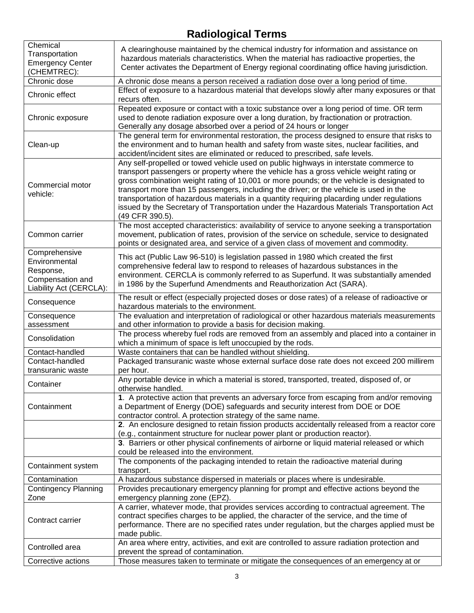| Chemical                    |                                                                                                |
|-----------------------------|------------------------------------------------------------------------------------------------|
| Transportation              | A clearinghouse maintained by the chemical industry for information and assistance on          |
| <b>Emergency Center</b>     | hazardous materials characteristics. When the material has radioactive properties, the         |
| (CHEMTREC):                 | Center activates the Department of Energy regional coordinating office having jurisdiction.    |
| Chronic dose                | A chronic dose means a person received a radiation dose over a long period of time.            |
|                             | Effect of exposure to a hazardous material that develops slowly after many exposures or that   |
| Chronic effect              | recurs often.                                                                                  |
|                             | Repeated exposure or contact with a toxic substance over a long period of time. OR term        |
| Chronic exposure            | used to denote radiation exposure over a long duration, by fractionation or protraction.       |
|                             | Generally any dosage absorbed over a period of 24 hours or longer                              |
|                             | The general term for environmental restoration, the process designed to ensure that risks to   |
| Clean-up                    | the environment and to human health and safety from waste sites, nuclear facilities, and       |
|                             | accident/incident sites are eliminated or reduced to prescribed, safe levels.                  |
|                             | Any self-propelled or towed vehicle used on public highways in interstate commerce to          |
|                             | transport passengers or property where the vehicle has a gross vehicle weight rating or        |
|                             |                                                                                                |
| Commercial motor            | gross combination weight rating of 10,001 or more pounds; or the vehicle is designated to      |
| vehicle:                    | transport more than 15 passengers, including the driver; or the vehicle is used in the         |
|                             | transportation of hazardous materials in a quantity requiring placarding under regulations     |
|                             | issued by the Secretary of Transportation under the Hazardous Materials Transportation Act     |
|                             | (49 CFR 390.5).                                                                                |
|                             | The most accepted characteristics: availability of service to anyone seeking a transportation  |
| Common carrier              | movement, publication of rates, provision of the service on schedule, service to designated    |
|                             | points or designated area, and service of a given class of movement and commodity.             |
| Comprehensive               | This act (Public Law 96-510) is legislation passed in 1980 which created the first             |
| Environmental               | comprehensive federal law to respond to releases of hazardous substances in the                |
| Response,                   | environment. CERCLA is commonly referred to as Superfund. It was substantially amended         |
| Compensation and            | in 1986 by the Superfund Amendments and Reauthorization Act (SARA).                            |
| Liability Act (CERCLA):     |                                                                                                |
| Consequence                 | The result or effect (especially projected doses or dose rates) of a release of radioactive or |
|                             | hazardous materials to the environment.                                                        |
| Consequence                 | The evaluation and interpretation of radiological or other hazardous materials measurements    |
| assessment                  | and other information to provide a basis for decision making.                                  |
| Consolidation               | The process whereby fuel rods are removed from an assembly and placed into a container in      |
|                             | which a minimum of space is left unoccupied by the rods.                                       |
| Contact-handled             | Waste containers that can be handled without shielding.                                        |
| Contact-handled             | Packaged transuranic waste whose external surface dose rate does not exceed 200 millirem       |
| transuranic waste           | per hour.                                                                                      |
| Container                   | Any portable device in which a material is stored, transported, treated, disposed of, or       |
|                             | otherwise handled.                                                                             |
|                             | 1. A protective action that prevents an adversary force from escaping from and/or removing     |
| Containment                 | a Department of Energy (DOE) safeguards and security interest from DOE or DOE                  |
|                             | contractor control. A protection strategy of the same name.                                    |
|                             | 2. An enclosure designed to retain fission products accidentally released from a reactor core  |
|                             | (e.g., containment structure for nuclear power plant or production reactor).                   |
|                             | 3. Barriers or other physical confinements of airborne or liquid material released or which    |
|                             | could be released into the environment.                                                        |
|                             | The components of the packaging intended to retain the radioactive material during             |
| Containment system          | transport.                                                                                     |
| Contamination               | A hazardous substance dispersed in materials or places where is undesirable.                   |
| <b>Contingency Planning</b> | Provides precautionary emergency planning for prompt and effective actions beyond the          |
| Zone                        | emergency planning zone (EPZ).                                                                 |
|                             | A carrier, whatever mode, that provides services according to contractual agreement. The       |
|                             | contract specifies charges to be applied, the character of the service, and the time of        |
| Contract carrier            | performance. There are no specified rates under regulation, but the charges applied must be    |
|                             | made public.                                                                                   |
|                             | An area where entry, activities, and exit are controlled to assure radiation protection and    |
| Controlled area             | prevent the spread of contamination.                                                           |
| Corrective actions          | Those measures taken to terminate or mitigate the consequences of an emergency at or           |
|                             |                                                                                                |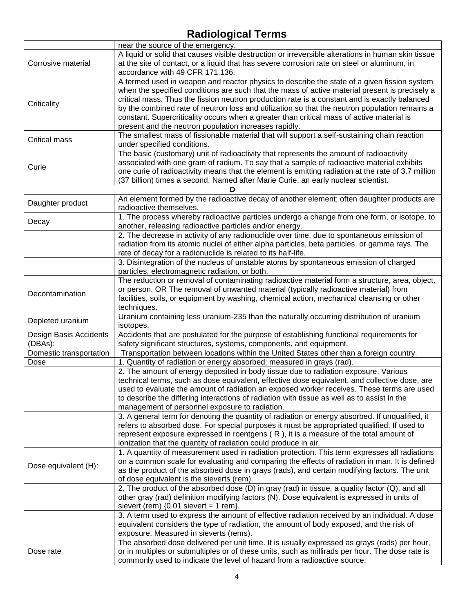|                         | near the source of the emergency.                                                                  |
|-------------------------|----------------------------------------------------------------------------------------------------|
|                         | A liquid or solid that causes visible destruction or irreversible alterations in human skin tissue |
| Corrosive material      | at the site of contact, or a liquid that has severe corrosion rate on steel or aluminum, in        |
|                         | accordance with 49 CFR 171.136.                                                                    |
|                         | A termed used in weapon and reactor physics to describe the state of a given fission system        |
|                         | when the specified conditions are such that the mass of active material present is precisely a     |
|                         | critical mass. Thus the fission neutron production rate is a constant and is exactly balanced      |
| Criticality             | by the combined rate of neutron loss and utilization so that the neutron population remains a      |
|                         | constant. Supercriticality occurs when a greater than critical mass of active material is          |
|                         |                                                                                                    |
|                         | present and the neutron population increases rapidly.                                              |
| <b>Critical mass</b>    | The smallest mass of fissionable material that will support a self-sustaining chain reaction       |
|                         | under specified conditions.                                                                        |
|                         | The basic (customary) unit of radioactivity that represents the amount of radioactivity            |
| Curie                   | associated with one gram of radium. To say that a sample of radioactive material exhibits          |
|                         | one curie of radioactivity means that the element is emitting radiation at the rate of 3.7 million |
|                         | (37 billion) times a second. Named after Marie Curie, an early nuclear scientist.                  |
|                         |                                                                                                    |
| Daughter product        | An element formed by the radioactive decay of another element; often daughter products are         |
|                         | radioactive themselves.                                                                            |
|                         | 1. The process whereby radioactive particles undergo a change from one form, or isotope, to        |
| Decay                   | another, releasing radioactive particles and/or energy.                                            |
|                         | 2. The decrease in activity of any radionuclide over time, due to spontaneous emission of          |
|                         | radiation from its atomic nuclei of either alpha particles, beta particles, or gamma rays. The     |
|                         | rate of decay for a radionuclide is related to its half-life.                                      |
|                         | 3. Disintegration of the nucleus of unstable atoms by spontaneous emission of charged              |
|                         | particles, electromagnetic radiation, or both.                                                     |
|                         | The reduction or removal of contaminating radioactive material form a structure, area, object,     |
|                         | or person. OR The removal of unwanted material (typically radioactive material) from               |
| Decontamination         | facilities, soils, or equipment by washing, chemical action, mechanical cleansing or other         |
|                         | techniques.                                                                                        |
|                         | Uranium containing less uranium-235 than the naturally occurring distribution of uranium           |
| Depleted uranium        | isotopes.                                                                                          |
| Design Basis Accidents  | Accidents that are postulated for the purpose of establishing functional requirements for          |
| (DBAs):                 | safety significant structures, systems, components, and equipment.                                 |
| Domestic transportation | Transportation between locations within the United States other than a foreign country.            |
| Dose                    | 1. Quantity of radiation or energy absorbed; measured in grays (rad).                              |
|                         | 2. The amount of energy deposited in body tissue due to radiation exposure. Various                |
|                         | technical terms, such as dose equivalent, effective dose equivalent, and collective dose, are      |
|                         | used to evaluate the amount of radiation an exposed worker receives. These terms are used          |
|                         | to describe the differing interactions of radiation with tissue as well as to assist in the        |
|                         | management of personnel exposure to radiation.                                                     |
|                         | 3. A general term for denoting the quantity of radiation or energy absorbed. If unqualified, it    |
|                         | refers to absorbed dose. For special purposes it must be appropriated qualified. If used to        |
|                         | represent exposure expressed in roentgens $(R)$ , it is a measure of the total amount of           |
|                         | ionization that the quantity of radiation could produce in air.                                    |
|                         | 1. A quantity of measurement used in radiation protection. This term expresses all radiations      |
|                         | on a common scale for evaluating and comparing the effects of radiation in man. It is defined      |
| Dose equivalent (H):    | as the product of the absorbed dose in grays (rads), and certain modifying factors. The unit       |
|                         |                                                                                                    |
|                         | of dose equivalent is the sieverts (rem).                                                          |
|                         | 2. The product of the absorbed dose (D) in gray (rad) in tissue, a quality factor (Q), and all     |
|                         | other gray (rad) definition modifying factors (N). Dose equivalent is expressed in units of        |
|                         | sievert (rem) $\{0.01$ sievert = 1 rem $\}$ .                                                      |
|                         | 3. A term used to express the amount of effective radiation received by an individual. A dose      |
|                         | equivalent considers the type of radiation, the amount of body exposed, and the risk of            |
|                         | exposure. Measured in sieverts (rems).                                                             |
|                         | The absorbed dose delivered per unit time. It is usually expressed as grays (rads) per hour,       |
| Dose rate               | or in multiples or submultiples or of these units, such as millirads per hour. The dose rate is    |
|                         | commonly used to indicate the level of hazard from a radioactive source.                           |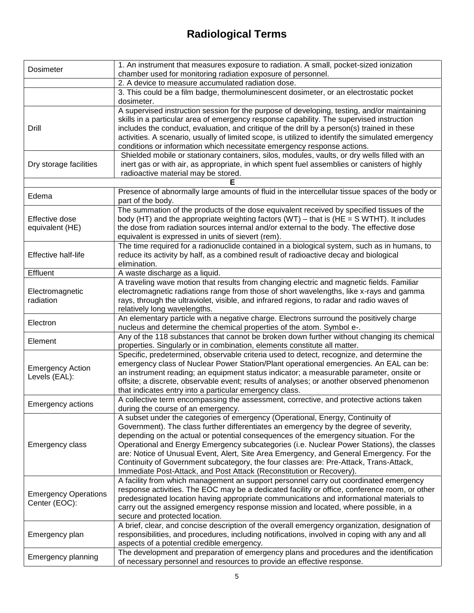| Dosimeter                                    | 1. An instrument that measures exposure to radiation. A small, pocket-sized ionization<br>chamber used for monitoring radiation exposure of personnel. |
|----------------------------------------------|--------------------------------------------------------------------------------------------------------------------------------------------------------|
|                                              | 2. A device to measure accumulated radiation dose.                                                                                                     |
|                                              | 3. This could be a film badge, thermoluminescent dosimeter, or an electrostatic pocket                                                                 |
|                                              | dosimeter.                                                                                                                                             |
|                                              | A supervised instruction session for the purpose of developing, testing, and/or maintaining                                                            |
|                                              | skills in a particular area of emergency response capability. The supervised instruction                                                               |
| Drill                                        | includes the conduct, evaluation, and critique of the drill by a person(s) trained in these                                                            |
|                                              | activities. A scenario, usually of limited scope, is utilized to identify the simulated emergency                                                      |
|                                              | conditions or information which necessitate emergency response actions.                                                                                |
|                                              | Shielded mobile or stationary containers, silos, modules, vaults, or dry wells filled with an                                                          |
| Dry storage facilities                       | inert gas or with air, as appropriate, in which spent fuel assemblies or canisters of highly                                                           |
|                                              | radioactive material may be stored.                                                                                                                    |
|                                              |                                                                                                                                                        |
|                                              | Presence of abnormally large amounts of fluid in the intercellular tissue spaces of the body or                                                        |
| Edema                                        | part of the body.                                                                                                                                      |
|                                              | The summation of the products of the dose equivalent received by specified tissues of the                                                              |
| Effective dose                               | body (HT) and the appropriate weighting factors (WT) - that is (HE = $S$ WTHT). It includes                                                            |
| equivalent (HE)                              | the dose from radiation sources internal and/or external to the body. The effective dose                                                               |
|                                              | equivalent is expressed in units of sievert (rem).                                                                                                     |
|                                              | The time required for a radionuclide contained in a biological system, such as in humans, to                                                           |
| Effective half-life                          | reduce its activity by half, as a combined result of radioactive decay and biological                                                                  |
|                                              | elimination.                                                                                                                                           |
| Effluent                                     | A waste discharge as a liquid.                                                                                                                         |
|                                              | A traveling wave motion that results from changing electric and magnetic fields. Familiar                                                              |
| Electromagnetic                              | electromagnetic radiations range from those of short wavelengths, like x-rays and gamma                                                                |
| radiation                                    | rays, through the ultraviolet, visible, and infrared regions, to radar and radio waves of                                                              |
|                                              | relatively long wavelengths.                                                                                                                           |
|                                              | An elementary particle with a negative charge. Electrons surround the positively charge                                                                |
| Electron                                     | nucleus and determine the chemical properties of the atom. Symbol e-.                                                                                  |
|                                              | Any of the 118 substances that cannot be broken down further without changing its chemical                                                             |
| Element                                      | properties. Singularly or in combination, elements constitute all matter.                                                                              |
|                                              | Specific, predetermined, observable criteria used to detect, recognize, and determine the                                                              |
|                                              | emergency class of Nuclear Power Station/Plant operational emergencies. An EAL can be:                                                                 |
| <b>Emergency Action</b><br>Levels (EAL):     | an instrument reading; an equipment status indicator; a measurable parameter, onsite or                                                                |
|                                              | offsite; a discrete, observable event; results of analyses; or another observed phenomenon                                                             |
|                                              | that indicates entry into a particular emergency class.                                                                                                |
| <b>Emergency actions</b>                     | A collective term encompassing the assessment, corrective, and protective actions taken                                                                |
|                                              | during the course of an emergency.                                                                                                                     |
|                                              | A subset under the categories of emergency (Operational, Energy, Continuity of                                                                         |
|                                              | Government). The class further differentiates an emergency by the degree of severity,                                                                  |
|                                              | depending on the actual or potential consequences of the emergency situation. For the                                                                  |
| Emergency class                              | Operational and Energy Emergency subcategories (i.e. Nuclear Power Stations), the classes                                                              |
|                                              | are: Notice of Unusual Event, Alert, Site Area Emergency, and General Emergency. For the                                                               |
|                                              | Continuity of Government subcategory, the four classes are: Pre-Attack, Trans-Attack,                                                                  |
|                                              | Immediate Post-Attack, and Post Attack (Reconstitution or Recovery).                                                                                   |
|                                              | A facility from which management an support personnel carry out coordinated emergency                                                                  |
| <b>Emergency Operations</b><br>Center (EOC): | response activities. The EOC may be a dedicated facility or office, conference room, or other                                                          |
|                                              | predesignated location having appropriate communications and informational materials to                                                                |
|                                              | carry out the assigned emergency response mission and located, where possible, in a                                                                    |
|                                              | secure and protected location.                                                                                                                         |
| Emergency plan                               | A brief, clear, and concise description of the overall emergency organization, designation of                                                          |
|                                              | responsibilities, and procedures, including notifications, involved in coping with any and all                                                         |
|                                              | aspects of a potential credible emergency.                                                                                                             |
| Emergency planning                           | The development and preparation of emergency plans and procedures and the identification                                                               |
|                                              | of necessary personnel and resources to provide an effective response.                                                                                 |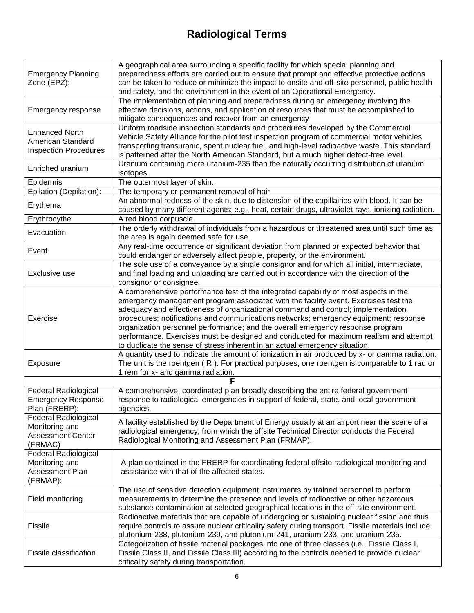| <b>Emergency Planning</b><br>Zone (EPZ):                                             | A geographical area surrounding a specific facility for which special planning and<br>preparedness efforts are carried out to ensure that prompt and effective protective actions<br>can be taken to reduce or minimize the impact to onsite and off-site personnel, public health<br>and safety, and the environment in the event of an Operational Emergency.                                                                                                                                                                                                                                                   |
|--------------------------------------------------------------------------------------|-------------------------------------------------------------------------------------------------------------------------------------------------------------------------------------------------------------------------------------------------------------------------------------------------------------------------------------------------------------------------------------------------------------------------------------------------------------------------------------------------------------------------------------------------------------------------------------------------------------------|
| Emergency response                                                                   | The implementation of planning and preparedness during an emergency involving the<br>effective decisions, actions, and application of resources that must be accomplished to<br>mitigate consequences and recover from an emergency                                                                                                                                                                                                                                                                                                                                                                               |
| <b>Enhanced North</b><br>American Standard<br><b>Inspection Procedures</b>           | Uniform roadside inspection standards and procedures developed by the Commercial<br>Vehicle Safety Alliance for the pilot test inspection program of commercial motor vehicles<br>transporting transuranic, spent nuclear fuel, and high-level radioactive waste. This standard<br>is patterned after the North American Standard, but a much higher defect-free level.                                                                                                                                                                                                                                           |
| Enriched uranium                                                                     | Uranium containing more uranium-235 than the naturally occurring distribution of uranium<br>isotopes.                                                                                                                                                                                                                                                                                                                                                                                                                                                                                                             |
| Epidermis                                                                            | The outermost layer of skin.                                                                                                                                                                                                                                                                                                                                                                                                                                                                                                                                                                                      |
| Epilation (Depilation):                                                              | The temporary or permanent removal of hair.                                                                                                                                                                                                                                                                                                                                                                                                                                                                                                                                                                       |
| Erythema                                                                             | An abnormal redness of the skin, due to distension of the capillairies with blood. It can be<br>caused by many different agents; e.g., heat, certain drugs, ultraviolet rays, ionizing radiation.                                                                                                                                                                                                                                                                                                                                                                                                                 |
| Erythrocythe                                                                         | A red blood corpuscle.                                                                                                                                                                                                                                                                                                                                                                                                                                                                                                                                                                                            |
| Evacuation                                                                           | The orderly withdrawal of individuals from a hazardous or threatened area until such time as<br>the area is again deemed safe for use.                                                                                                                                                                                                                                                                                                                                                                                                                                                                            |
| Event                                                                                | Any real-time occurrence or significant deviation from planned or expected behavior that<br>could endanger or adversely affect people, property, or the environment.                                                                                                                                                                                                                                                                                                                                                                                                                                              |
| Exclusive use                                                                        | The sole use of a conveyance by a single consignor and for which all initial, intermediate,<br>and final loading and unloading are carried out in accordance with the direction of the<br>consignor or consignee.                                                                                                                                                                                                                                                                                                                                                                                                 |
| Exercise                                                                             | A comprehensive performance test of the integrated capability of most aspects in the<br>emergency management program associated with the facility event. Exercises test the<br>adequacy and effectiveness of organizational command and control; implementation<br>procedures; notifications and communications networks; emergency equipment; response<br>organization personnel performance; and the overall emergency response program<br>performance. Exercises must be designed and conducted for maximum realism and attempt<br>to duplicate the sense of stress inherent in an actual emergency situation. |
| Exposure                                                                             | A quantity used to indicate the amount of ionization in air produced by x- or gamma radiation.<br>The unit is the roentgen (R). For practical purposes, one roentgen is comparable to 1 rad or<br>1 rem for x- and gamma radiation.                                                                                                                                                                                                                                                                                                                                                                               |
|                                                                                      |                                                                                                                                                                                                                                                                                                                                                                                                                                                                                                                                                                                                                   |
| Federal Radiological<br><b>Emergency Response</b><br>Plan (FRERP):                   | A comprehensive, coordinated plan broadly describing the entire federal government<br>response to radiological emergencies in support of federal, state, and local government<br>agencies.                                                                                                                                                                                                                                                                                                                                                                                                                        |
| <b>Federal Radiological</b><br>Monitoring and<br><b>Assessment Center</b><br>(FRMAC) | A facility established by the Department of Energy usually at an airport near the scene of a<br>radiological emergency, from which the offsite Technical Director conducts the Federal<br>Radiological Monitoring and Assessment Plan (FRMAP).                                                                                                                                                                                                                                                                                                                                                                    |
| <b>Federal Radiological</b><br>Monitoring and<br>Assessment Plan<br>(FRMAP):         | A plan contained in the FRERP for coordinating federal offsite radiological monitoring and<br>assistance with that of the affected states.                                                                                                                                                                                                                                                                                                                                                                                                                                                                        |
| Field monitoring                                                                     | The use of sensitive detection equipment instruments by trained personnel to perform<br>measurements to determine the presence and levels of radioactive or other hazardous<br>substance contamination at selected geographical locations in the off-site environment.                                                                                                                                                                                                                                                                                                                                            |
| <b>Fissile</b>                                                                       | Radioactive materials that are capable of undergoing or sustaining nuclear fission and thus<br>require controls to assure nuclear criticality safety during transport. Fissile materials include<br>plutonium-238, plutonium-239, and plutonium-241, uranium-233, and uranium-235.                                                                                                                                                                                                                                                                                                                                |
| Fissile classification                                                               | Categorization of fissile material packages into one of three classes (i.e., Fissile Class I,<br>Fissile Class II, and Fissile Class III) according to the controls needed to provide nuclear<br>criticality safety during transportation.                                                                                                                                                                                                                                                                                                                                                                        |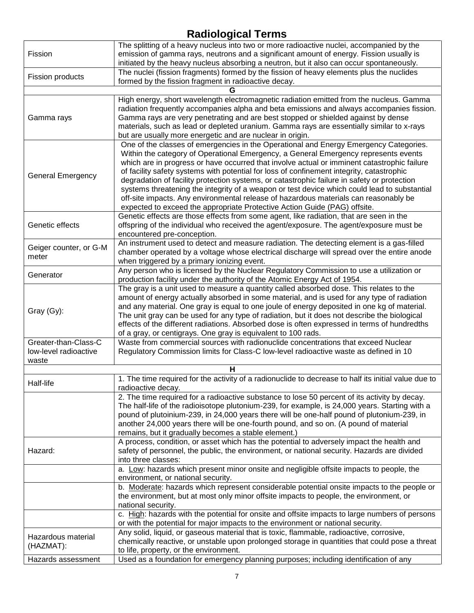| Fission                                       | The splitting of a heavy nucleus into two or more radioactive nuclei, accompanied by the<br>emission of gamma rays, neutrons and a significant amount of energy. Fission usually is<br>initiated by the heavy nucleus absorbing a neutron, but it also can occur spontaneously.                                                                                                                                                                                                                                                                                                                                                                                                                                                              |
|-----------------------------------------------|----------------------------------------------------------------------------------------------------------------------------------------------------------------------------------------------------------------------------------------------------------------------------------------------------------------------------------------------------------------------------------------------------------------------------------------------------------------------------------------------------------------------------------------------------------------------------------------------------------------------------------------------------------------------------------------------------------------------------------------------|
| <b>Fission products</b>                       | The nuclei (fission fragments) formed by the fission of heavy elements plus the nuclides<br>formed by the fission fragment in radioactive decay.                                                                                                                                                                                                                                                                                                                                                                                                                                                                                                                                                                                             |
|                                               |                                                                                                                                                                                                                                                                                                                                                                                                                                                                                                                                                                                                                                                                                                                                              |
| Gamma rays                                    | High energy, short wavelength electromagnetic radiation emitted from the nucleus. Gamma<br>radiation frequently accompanies alpha and beta emissions and always accompanies fission.<br>Gamma rays are very penetrating and are best stopped or shielded against by dense<br>materials, such as lead or depleted uranium. Gamma rays are essentially similar to x-rays<br>but are usually more energetic and are nuclear in origin.                                                                                                                                                                                                                                                                                                          |
| <b>General Emergency</b>                      | One of the classes of emergencies in the Operational and Energy Emergency Categories.<br>Within the category of Operational Emergency, a General Emergency represents events<br>which are in progress or have occurred that involve actual or imminent catastrophic failure<br>of facility safety systems with potential for loss of confinement integrity, catastrophic<br>degradation of facility protection systems, or catastrophic failure in safety or protection<br>systems threatening the integrity of a weapon or test device which could lead to substantial<br>off-site impacts. Any environmental release of hazardous materials can reasonably be<br>expected to exceed the appropriate Protective Action Guide (PAG) offsite. |
| Genetic effects                               | Genetic effects are those effects from some agent, like radiation, that are seen in the<br>offspring of the individual who received the agent/exposure. The agent/exposure must be<br>encountered pre-conception.                                                                                                                                                                                                                                                                                                                                                                                                                                                                                                                            |
| Geiger counter, or G-M<br>meter               | An instrument used to detect and measure radiation. The detecting element is a gas-filled<br>chamber operated by a voltage whose electrical discharge will spread over the entire anode<br>when triggered by a primary ionizing event.                                                                                                                                                                                                                                                                                                                                                                                                                                                                                                       |
| Generator                                     | Any person who is licensed by the Nuclear Regulatory Commission to use a utilization or<br>production facility under the authority of the Atomic Energy Act of 1954.                                                                                                                                                                                                                                                                                                                                                                                                                                                                                                                                                                         |
| Gray (Gy):                                    | The gray is a unit used to measure a quantity called absorbed dose. This relates to the<br>amount of energy actually absorbed in some material, and is used for any type of radiation<br>and any material. One gray is equal to one joule of energy deposited in one kg of material.<br>The unit gray can be used for any type of radiation, but it does not describe the biological<br>effects of the different radiations. Absorbed dose is often expressed in terms of hundredths<br>of a gray, or centigrays. One gray is equivalent to 100 rads.                                                                                                                                                                                        |
| Greater-than-Class-C<br>low-level radioactive | Waste from commercial sources with radionuclide concentrations that exceed Nuclear<br>Regulatory Commission limits for Class-C low-level radioactive waste as defined in 10                                                                                                                                                                                                                                                                                                                                                                                                                                                                                                                                                                  |
| waste                                         |                                                                                                                                                                                                                                                                                                                                                                                                                                                                                                                                                                                                                                                                                                                                              |
| Half-life                                     | н<br>1. The time required for the activity of a radionuclide to decrease to half its initial value due to<br>radioactive decay.                                                                                                                                                                                                                                                                                                                                                                                                                                                                                                                                                                                                              |
|                                               | 2. The time required for a radioactive substance to lose 50 percent of its activity by decay.<br>The half-life of the radioisotope plutonium-239, for example, is 24,000 years. Starting with a<br>pound of plutoinium-239, in 24,000 years there will be one-half pound of plutonium-239, in<br>another 24,000 years there will be one-fourth pound, and so on. (A pound of material<br>remains, but it gradually becomes a stable element.)                                                                                                                                                                                                                                                                                                |
| Hazard:                                       | A process, condition, or asset which has the potential to adversely impact the health and<br>safety of personnel, the public, the environment, or national security. Hazards are divided<br>into three classes:                                                                                                                                                                                                                                                                                                                                                                                                                                                                                                                              |
|                                               | a. Low: hazards which present minor onsite and negligible offsite impacts to people, the<br>environment, or national security.                                                                                                                                                                                                                                                                                                                                                                                                                                                                                                                                                                                                               |
|                                               | b. Moderate: hazards which represent considerable potential onsite impacts to the people or<br>the environment, but at most only minor offsite impacts to people, the environment, or<br>national security.                                                                                                                                                                                                                                                                                                                                                                                                                                                                                                                                  |
|                                               | c. High: hazards with the potential for onsite and offsite impacts to large numbers of persons<br>or with the potential for major impacts to the environment or national security.                                                                                                                                                                                                                                                                                                                                                                                                                                                                                                                                                           |
| Hazardous material<br>(HAZMAT):               | Any solid, liquid, or gaseous material that is toxic, flammable, radioactive, corrosive,<br>chemically reactive, or unstable upon prolonged storage in quantities that could pose a threat<br>to life, property, or the environment.                                                                                                                                                                                                                                                                                                                                                                                                                                                                                                         |
| Hazards assessment                            | Used as a foundation for emergency planning purposes; including identification of any                                                                                                                                                                                                                                                                                                                                                                                                                                                                                                                                                                                                                                                        |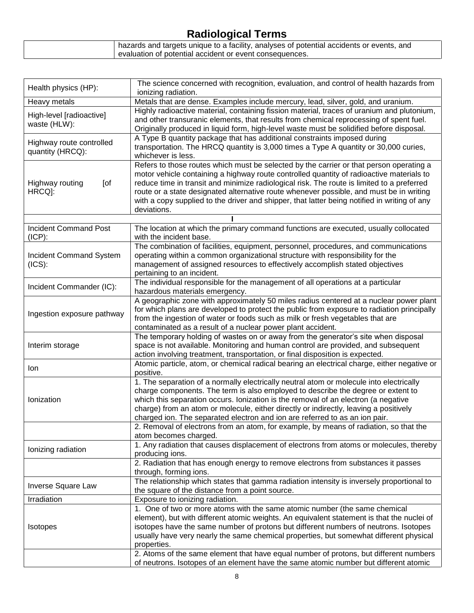| hazards and targets unique to a facility, analyses of potential accidents or events, and |
|------------------------------------------------------------------------------------------|
| evaluation of potential accident or event consequences.                                  |

| Health physics (HP):             | The science concerned with recognition, evaluation, and control of health hazards from<br>ionizing radiation.                                                                         |
|----------------------------------|---------------------------------------------------------------------------------------------------------------------------------------------------------------------------------------|
| Heavy metals                     | Metals that are dense. Examples include mercury, lead, silver, gold, and uranium.                                                                                                     |
|                                  | Highly radioactive material, containing fission material, traces of uranium and plutonium,                                                                                            |
| High-level [radioactive]         | and other transuranic elements, that results from chemical reprocessing of spent fuel.                                                                                                |
| waste (HLW):                     | Originally produced in liquid form, high-level waste must be solidified before disposal.                                                                                              |
| Highway route controlled         | A Type B quantity package that has additional constraints imposed during                                                                                                              |
| quantity (HRCQ):                 | transportation. The HRCQ quantity is 3,000 times a Type A quantity or 30,000 curies,                                                                                                  |
|                                  | whichever is less.                                                                                                                                                                    |
|                                  | Refers to those routes which must be selected by the carrier or that person operating a                                                                                               |
|                                  | motor vehicle containing a highway route controlled quantity of radioactive materials to                                                                                              |
| Highway routing<br>[of<br>HRCQ]: | reduce time in transit and minimize radiological risk. The route is limited to a preferred<br>route or a state designated alternative route whenever possible, and must be in writing |
|                                  | with a copy supplied to the driver and shipper, that latter being notified in writing of any                                                                                          |
|                                  | deviations.                                                                                                                                                                           |
|                                  |                                                                                                                                                                                       |
| <b>Incident Command Post</b>     | The location at which the primary command functions are executed, usually collocated                                                                                                  |
| $(ICP)$ :                        | with the incident base.                                                                                                                                                               |
|                                  | The combination of facilities, equipment, personnel, procedures, and communications                                                                                                   |
| Incident Command System          | operating within a common organizational structure with responsibility for the                                                                                                        |
| (ICS):                           | management of assigned resources to effectively accomplish stated objectives                                                                                                          |
|                                  | pertaining to an incident.                                                                                                                                                            |
| Incident Commander (IC):         | The individual responsible for the management of all operations at a particular                                                                                                       |
|                                  | hazardous materials emergency.                                                                                                                                                        |
|                                  | A geographic zone with approximately 50 miles radius centered at a nuclear power plant<br>for which plans are developed to protect the public from exposure to radiation principally  |
| Ingestion exposure pathway       | from the ingestion of water or foods such as milk or fresh vegetables that are                                                                                                        |
|                                  | contaminated as a result of a nuclear power plant accident.                                                                                                                           |
|                                  | The temporary holding of wastes on or away from the generator's site when disposal                                                                                                    |
| Interim storage                  | space is not available. Monitoring and human control are provided, and subsequent                                                                                                     |
|                                  | action involving treatment, transportation, or final disposition is expected.                                                                                                         |
| lon                              | Atomic particle, atom, or chemical radical bearing an electrical charge, either negative or                                                                                           |
|                                  | positive.                                                                                                                                                                             |
|                                  | 1. The separation of a normally electrically neutral atom or molecule into electrically                                                                                               |
|                                  | charge components. The term is also employed to describe the degree or extent to                                                                                                      |
| Ionization                       | which this separation occurs. Ionization is the removal of an electron (a negative                                                                                                    |
|                                  | charge) from an atom or molecule, either directly or indirectly, leaving a positively                                                                                                 |
|                                  | charged ion. The separated electron and ion are referred to as an ion pair.<br>2. Removal of electrons from an atom, for example, by means of radiation, so that the                  |
|                                  | atom becomes charged.                                                                                                                                                                 |
|                                  | 1. Any radiation that causes displacement of electrons from atoms or molecules, thereby                                                                                               |
| lonizing radiation               | producing ions.                                                                                                                                                                       |
|                                  | 2. Radiation that has enough energy to remove electrons from substances it passes                                                                                                     |
|                                  | through, forming ions.                                                                                                                                                                |
|                                  | The relationship which states that gamma radiation intensity is inversely proportional to                                                                                             |
| Inverse Square Law               | the square of the distance from a point source.                                                                                                                                       |
| Irradiation                      | Exposure to ionizing radiation.                                                                                                                                                       |
|                                  | 1. One of two or more atoms with the same atomic number (the same chemical                                                                                                            |
| <b>Isotopes</b>                  | element), but with different atomic weights. An equivalent statement is that the nuclei of                                                                                            |
|                                  | isotopes have the same number of protons but different numbers of neutrons. Isotopes<br>usually have very nearly the same chemical properties, but somewhat different physical        |
|                                  | properties.                                                                                                                                                                           |
|                                  | 2. Atoms of the same element that have equal number of protons, but different numbers                                                                                                 |
|                                  | of neutrons. Isotopes of an element have the same atomic number but different atomic                                                                                                  |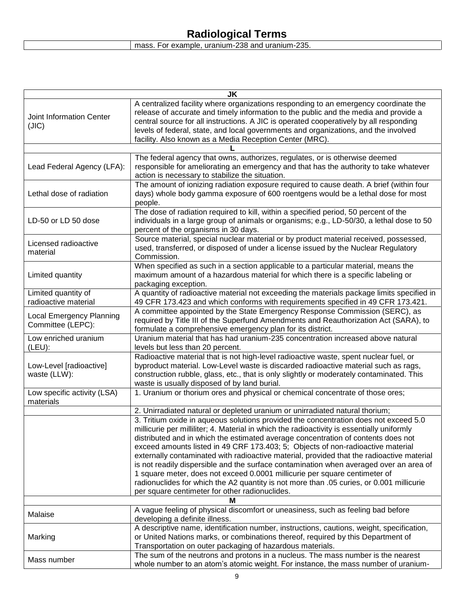| <b>JK</b>                                            |                                                                                                                                                                                                                                                                                                                                                                                                                                                                                                                                                                                                                                                                                                                                                                               |  |
|------------------------------------------------------|-------------------------------------------------------------------------------------------------------------------------------------------------------------------------------------------------------------------------------------------------------------------------------------------------------------------------------------------------------------------------------------------------------------------------------------------------------------------------------------------------------------------------------------------------------------------------------------------------------------------------------------------------------------------------------------------------------------------------------------------------------------------------------|--|
| Joint Information Center<br>(JIC)                    | A centralized facility where organizations responding to an emergency coordinate the<br>release of accurate and timely information to the public and the media and provide a<br>central source for all instructions. A JIC is operated cooperatively by all responding<br>levels of federal, state, and local governments and organizations, and the involved<br>facility. Also known as a Media Reception Center (MRC).                                                                                                                                                                                                                                                                                                                                                      |  |
|                                                      |                                                                                                                                                                                                                                                                                                                                                                                                                                                                                                                                                                                                                                                                                                                                                                               |  |
| Lead Federal Agency (LFA):                           | The federal agency that owns, authorizes, regulates, or is otherwise deemed<br>responsible for ameliorating an emergency and that has the authority to take whatever<br>action is necessary to stabilize the situation.                                                                                                                                                                                                                                                                                                                                                                                                                                                                                                                                                       |  |
| Lethal dose of radiation                             | The amount of ionizing radiation exposure required to cause death. A brief (within four<br>days) whole body gamma exposure of 600 roentgens would be a lethal dose for most<br>people.                                                                                                                                                                                                                                                                                                                                                                                                                                                                                                                                                                                        |  |
| LD-50 or LD 50 dose                                  | The dose of radiation required to kill, within a specified period, 50 percent of the<br>individuals in a large group of animals or organisms; e.g., LD-50/30, a lethal dose to 50<br>percent of the organisms in 30 days.                                                                                                                                                                                                                                                                                                                                                                                                                                                                                                                                                     |  |
| Licensed radioactive<br>material                     | Source material, special nuclear material or by product material received, possessed,<br>used, transferred, or disposed of under a license issued by the Nuclear Regulatory<br>Commission.                                                                                                                                                                                                                                                                                                                                                                                                                                                                                                                                                                                    |  |
| Limited quantity                                     | When specified as such in a section applicable to a particular material, means the<br>maximum amount of a hazardous material for which there is a specific labeling or<br>packaging exception.                                                                                                                                                                                                                                                                                                                                                                                                                                                                                                                                                                                |  |
| Limited quantity of<br>radioactive material          | A quantity of radioactive material not exceeding the materials package limits specified in<br>49 CFR 173.423 and which conforms with requirements specified in 49 CFR 173.421.                                                                                                                                                                                                                                                                                                                                                                                                                                                                                                                                                                                                |  |
| <b>Local Emergency Planning</b><br>Committee (LEPC): | A committee appointed by the State Emergency Response Commission (SERC), as<br>required by Title III of the Superfund Amendments and Reauthorization Act (SARA), to<br>formulate a comprehensive emergency plan for its district.                                                                                                                                                                                                                                                                                                                                                                                                                                                                                                                                             |  |
| Low enriched uranium<br>(LEU):                       | Uranium material that has had uranium-235 concentration increased above natural<br>levels but less than 20 percent.                                                                                                                                                                                                                                                                                                                                                                                                                                                                                                                                                                                                                                                           |  |
| Low-Level [radioactive]<br>waste (LLW):              | Radioactive material that is not high-level radioactive waste, spent nuclear fuel, or<br>byproduct material. Low-Level waste is discarded radioactive material such as rags,<br>construction rubble, glass, etc., that is only slightly or moderately contaminated. This<br>waste is usually disposed of by land burial.                                                                                                                                                                                                                                                                                                                                                                                                                                                      |  |
| Low specific activity (LSA)<br>materials             | 1. Uranium or thorium ores and physical or chemical concentrate of those ores;                                                                                                                                                                                                                                                                                                                                                                                                                                                                                                                                                                                                                                                                                                |  |
|                                                      | 2. Unirradiated natural or depleted uranium or unirradiated natural thorium;                                                                                                                                                                                                                                                                                                                                                                                                                                                                                                                                                                                                                                                                                                  |  |
|                                                      | 3. Tritium oxide in aqueous solutions provided the concentration does not exceed 5.0<br>millicurie per milliliter; 4. Material in which the radioactivity is essentially uniformly<br>distributed and in which the estimated average concentration of contents does not<br>exceed amounts listed in 49 CRF 173.403; 5; Objects of non-radioactive material<br>externally contaminated with radioactive material, provided that the radioactive material<br>is not readily dispersible and the surface contamination when averaged over an area of<br>1 square meter, does not exceed 0.0001 millicurie per square centimeter of<br>radionuclides for which the A2 quantity is not more than .05 curies, or 0.001 millicurie<br>per square centimeter for other radionuclides. |  |
|                                                      |                                                                                                                                                                                                                                                                                                                                                                                                                                                                                                                                                                                                                                                                                                                                                                               |  |
| Malaise                                              | A vague feeling of physical discomfort or uneasiness, such as feeling bad before<br>developing a definite illness.                                                                                                                                                                                                                                                                                                                                                                                                                                                                                                                                                                                                                                                            |  |
| Marking                                              | A descriptive name, identification number, instructions, cautions, weight, specification,<br>or United Nations marks, or combinations thereof, required by this Department of<br>Transportation on outer packaging of hazardous materials.                                                                                                                                                                                                                                                                                                                                                                                                                                                                                                                                    |  |
| Mass number                                          | The sum of the neutrons and protons in a nucleus. The mass number is the nearest<br>whole number to an atom's atomic weight. For instance, the mass number of uranium-                                                                                                                                                                                                                                                                                                                                                                                                                                                                                                                                                                                                        |  |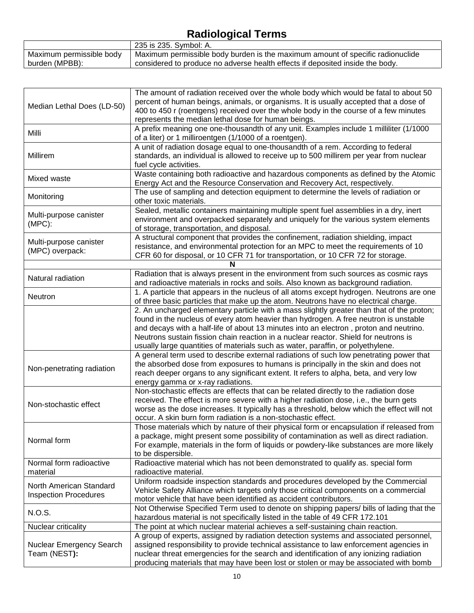|                          | 235 is 235. Symbol: A.                                                         |
|--------------------------|--------------------------------------------------------------------------------|
| Maximum permissible body | Maximum permissible body burden is the maximum amount of specific radionuclide |
| burden (MPBB):           | considered to produce no adverse health effects if deposited inside the body.  |

| Median Lethal Does (LD-50)                              | The amount of radiation received over the whole body which would be fatal to about 50<br>percent of human beings, animals, or organisms. It is usually accepted that a dose of<br>400 to 450 r (roentgens) received over the whole body in the course of a few minutes<br>represents the median lethal dose for human beings.                                                                                                                          |
|---------------------------------------------------------|--------------------------------------------------------------------------------------------------------------------------------------------------------------------------------------------------------------------------------------------------------------------------------------------------------------------------------------------------------------------------------------------------------------------------------------------------------|
| Milli                                                   | A prefix meaning one one-thousandth of any unit. Examples include 1 milliliter (1/1000<br>of a liter) or 1 milliroentgen (1/1000 of a roentgen).                                                                                                                                                                                                                                                                                                       |
| Millirem                                                | A unit of radiation dosage equal to one-thousandth of a rem. According to federal<br>standards, an individual is allowed to receive up to 500 millirem per year from nuclear<br>fuel cycle activities.                                                                                                                                                                                                                                                 |
| Mixed waste                                             | Waste containing both radioactive and hazardous components as defined by the Atomic<br>Energy Act and the Resource Conservation and Recovery Act, respectively.                                                                                                                                                                                                                                                                                        |
| Monitoring                                              | The use of sampling and detection equipment to determine the levels of radiation or<br>other toxic materials.                                                                                                                                                                                                                                                                                                                                          |
| Multi-purpose canister<br>$(MPC)$ :                     | Sealed, metallic containers maintaining multiple spent fuel assemblies in a dry, inert<br>environment and overpacked separately and uniquely for the various system elements<br>of storage, transportation, and disposal.                                                                                                                                                                                                                              |
| Multi-purpose canister<br>(MPC) overpack:               | A structural component that provides the confinement, radiation shielding, impact<br>resistance, and environmental protection for an MPC to meet the requirements of 10<br>CFR 60 for disposal, or 10 CFR 71 for transportation, or 10 CFR 72 for storage.                                                                                                                                                                                             |
|                                                         | N                                                                                                                                                                                                                                                                                                                                                                                                                                                      |
| Natural radiation                                       | Radiation that is always present in the environment from such sources as cosmic rays<br>and radioactive materials in rocks and soils. Also known as background radiation.                                                                                                                                                                                                                                                                              |
| Neutron                                                 | 1. A particle that appears in the nucleus of all atoms except hydrogen. Neutrons are one<br>of three basic particles that make up the atom. Neutrons have no electrical charge.                                                                                                                                                                                                                                                                        |
|                                                         | 2. An uncharged elementary particle with a mass slightly greater than that of the proton;<br>found in the nucleus of every atom heavier than hydrogen. A free neutron is unstable<br>and decays with a half-life of about 13 minutes into an electron, proton and neutrino.<br>Neutrons sustain fission chain reaction in a nuclear reactor. Shield for neutrons is<br>usually large quantities of materials such as water, paraffin, or polyethylene. |
| Non-penetrating radiation                               | A general term used to describe external radiations of such low penetrating power that<br>the absorbed dose from exposures to humans is principally in the skin and does not<br>reach deeper organs to any significant extent. It refers to alpha, beta, and very low<br>energy gamma or x-ray radiations.                                                                                                                                             |
| Non-stochastic effect                                   | Non-stochastic effects are effects that can be related directly to the radiation dose<br>received. The effect is more severe with a higher radiation dose, i.e., the burn gets<br>worse as the dose increases. It typically has a threshold, below which the effect will not<br>occur. A skin burn form radiation is a non-stochastic effect.                                                                                                          |
| Normal form                                             | Those materials which by nature of their physical form or encapsulation if released from<br>a package, might present some possibility of contamination as well as direct radiation.<br>For example, materials in the form of liquids or powdery-like substances are more likely<br>to be dispersible.                                                                                                                                                  |
| Normal form radioactive<br>material                     | Radioactive material which has not been demonstrated to qualify as. special form<br>radioactive material.                                                                                                                                                                                                                                                                                                                                              |
| North American Standard<br><b>Inspection Procedures</b> | Uniform roadside inspection standards and procedures developed by the Commercial<br>Vehicle Safety Alliance which targets only those critical components on a commercial<br>motor vehicle that have been identified as accident contributors.                                                                                                                                                                                                          |
| N.O.S.                                                  | Not Otherwise Specified Term used to denote on shipping papers/ bills of lading that the<br>hazardous material is not specifically listed in the table of 49 CFR 172.101                                                                                                                                                                                                                                                                               |
| Nuclear criticality                                     | The point at which nuclear material achieves a self-sustaining chain reaction.                                                                                                                                                                                                                                                                                                                                                                         |
| Nuclear Emergency Search<br>Team (NEST):                | A group of experts, assigned by radiation detection systems and associated personnel,<br>assigned responsibility to provide technical assistance to law enforcement agencies in<br>nuclear threat emergencies for the search and identification of any ionizing radiation<br>producing materials that may have been lost or stolen or may be associated with bomb                                                                                      |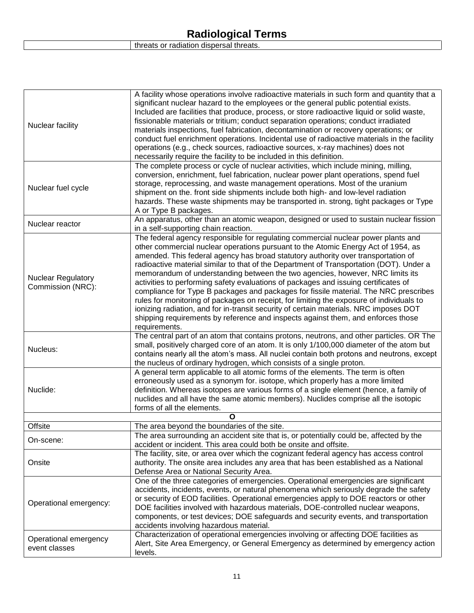|  | threats or radiation dispersal threats. |  |  |
|--|-----------------------------------------|--|--|
|--|-----------------------------------------|--|--|

| Nuclear facility                               | A facility whose operations involve radioactive materials in such form and quantity that a<br>significant nuclear hazard to the employees or the general public potential exists.<br>Included are facilities that produce, process, or store radioactive liquid or solid waste,<br>fissionable materials or tritium; conduct separation operations; conduct irradiated<br>materials inspections, fuel fabrication, decontamination or recovery operations; or<br>conduct fuel enrichment operations. Incidental use of radioactive materials in the facility<br>operations (e.g., check sources, radioactive sources, x-ray machines) does not<br>necessarily require the facility to be included in this definition.                                                                                                                                                                                            |  |
|------------------------------------------------|------------------------------------------------------------------------------------------------------------------------------------------------------------------------------------------------------------------------------------------------------------------------------------------------------------------------------------------------------------------------------------------------------------------------------------------------------------------------------------------------------------------------------------------------------------------------------------------------------------------------------------------------------------------------------------------------------------------------------------------------------------------------------------------------------------------------------------------------------------------------------------------------------------------|--|
| Nuclear fuel cycle                             | The complete process or cycle of nuclear activities, which include mining, milling,<br>conversion, enrichment, fuel fabrication, nuclear power plant operations, spend fuel<br>storage, reprocessing, and waste management operations. Most of the uranium<br>shipment on the. front side shipments include both high- and low-level radiation<br>hazards. These waste shipments may be transported in. strong, tight packages or Type<br>A or Type B packages.                                                                                                                                                                                                                                                                                                                                                                                                                                                  |  |
| Nuclear reactor                                | An apparatus, other than an atomic weapon, designed or used to sustain nuclear fission<br>in a self-supporting chain reaction.                                                                                                                                                                                                                                                                                                                                                                                                                                                                                                                                                                                                                                                                                                                                                                                   |  |
| <b>Nuclear Regulatory</b><br>Commission (NRC): | The federal agency responsible for regulating commercial nuclear power plants and<br>other commercial nuclear operations pursuant to the Atomic Energy Act of 1954, as<br>amended. This federal agency has broad statutory authority over transportation of<br>radioactive material similar to that of the Department of Transportation (DOT). Under a<br>memorandum of understanding between the two agencies, however, NRC limits its<br>activities to performing safety evaluations of packages and issuing certificates of<br>compliance for Type B packages and packages for fissile material. The NRC prescribes<br>rules for monitoring of packages on receipt, for limiting the exposure of individuals to<br>ionizing radiation, and for in-transit security of certain materials. NRC imposes DOT<br>shipping requirements by reference and inspects against them, and enforces those<br>requirements. |  |
| Nucleus:                                       | The central part of an atom that contains protons, neutrons, and other particles. OR The<br>small, positively charged core of an atom. It is only 1/100,000 diameter of the atom but<br>contains nearly all the atom's mass. All nuclei contain both protons and neutrons, except<br>the nucleus of ordinary hydrogen, which consists of a single proton.                                                                                                                                                                                                                                                                                                                                                                                                                                                                                                                                                        |  |
| Nuclide:                                       | A general term applicable to all atomic forms of the elements. The term is often<br>erroneously used as a synonym for. isotope, which properly has a more limited<br>definition. Whereas isotopes are various forms of a single element (hence, a family of<br>nuclides and all have the same atomic members). Nuclides comprise all the isotopic<br>forms of all the elements.                                                                                                                                                                                                                                                                                                                                                                                                                                                                                                                                  |  |
| O                                              |                                                                                                                                                                                                                                                                                                                                                                                                                                                                                                                                                                                                                                                                                                                                                                                                                                                                                                                  |  |
| Offsite                                        | The area beyond the boundaries of the site.<br>The area surrounding an accident site that is, or potentially could be, affected by the                                                                                                                                                                                                                                                                                                                                                                                                                                                                                                                                                                                                                                                                                                                                                                           |  |
| On-scene:                                      | accident or incident. This area could both be onsite and offsite.                                                                                                                                                                                                                                                                                                                                                                                                                                                                                                                                                                                                                                                                                                                                                                                                                                                |  |
| Onsite                                         | The facility, site, or area over which the cognizant federal agency has access control<br>authority. The onsite area includes any area that has been established as a National<br>Defense Area or National Security Area.                                                                                                                                                                                                                                                                                                                                                                                                                                                                                                                                                                                                                                                                                        |  |
| Operational emergency:                         | One of the three categories of emergencies. Operational emergencies are significant<br>accidents, incidents, events, or natural phenomena which seriously degrade the safety<br>or security of EOD facilities. Operational emergencies apply to DOE reactors or other<br>DOE facilities involved with hazardous materials, DOE-controlled nuclear weapons,<br>components, or test devices; DOE safeguards and security events, and transportation<br>accidents involving hazardous material.                                                                                                                                                                                                                                                                                                                                                                                                                     |  |
| Operational emergency<br>event classes         | Characterization of operational emergencies involving or affecting DOE facilities as<br>Alert, Site Area Emergency, or General Emergency as determined by emergency action<br>levels.                                                                                                                                                                                                                                                                                                                                                                                                                                                                                                                                                                                                                                                                                                                            |  |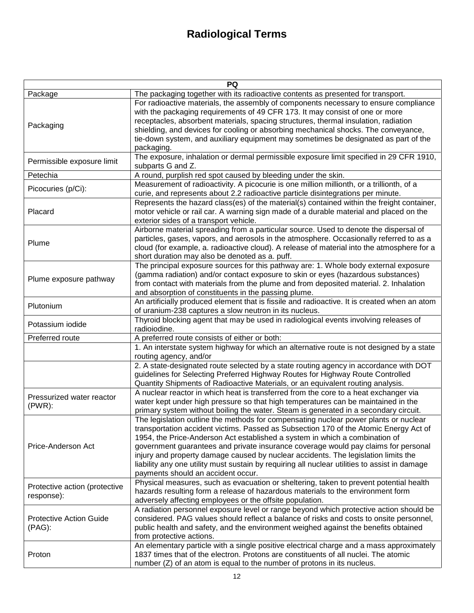| PQ                                          |                                                                                                                                                                                                                                                                                                                                                                                                                                                                                                                                                                                 |  |
|---------------------------------------------|---------------------------------------------------------------------------------------------------------------------------------------------------------------------------------------------------------------------------------------------------------------------------------------------------------------------------------------------------------------------------------------------------------------------------------------------------------------------------------------------------------------------------------------------------------------------------------|--|
| Package                                     | The packaging together with its radioactive contents as presented for transport.                                                                                                                                                                                                                                                                                                                                                                                                                                                                                                |  |
| Packaging                                   | For radioactive materials, the assembly of components necessary to ensure compliance<br>with the packaging requirements of 49 CFR 173. It may consist of one or more<br>receptacles, absorbent materials, spacing structures, thermal insulation, radiation                                                                                                                                                                                                                                                                                                                     |  |
|                                             | shielding, and devices for cooling or absorbing mechanical shocks. The conveyance,<br>tie-down system, and auxiliary equipment may sometimes be designated as part of the<br>packaging.                                                                                                                                                                                                                                                                                                                                                                                         |  |
| Permissible exposure limit                  | The exposure, inhalation or dermal permissible exposure limit specified in 29 CFR 1910,<br>subparts G and Z.                                                                                                                                                                                                                                                                                                                                                                                                                                                                    |  |
| Petechia                                    | A round, purplish red spot caused by bleeding under the skin.                                                                                                                                                                                                                                                                                                                                                                                                                                                                                                                   |  |
| Picocuries (p/Ci):                          | Measurement of radioactivity. A picocurie is one million millionth, or a trillionth, of a<br>curie, and represents about 2.2 radioactive particle disintegrations per minute.                                                                                                                                                                                                                                                                                                                                                                                                   |  |
| Placard                                     | Represents the hazard class(es) of the material(s) contained within the freight container,<br>motor vehicle or rail car. A warning sign made of a durable material and placed on the<br>exterior sides of a transport vehicle.                                                                                                                                                                                                                                                                                                                                                  |  |
| Plume                                       | Airborne material spreading from a particular source. Used to denote the dispersal of<br>particles, gases, vapors, and aerosols in the atmosphere. Occasionally referred to as a<br>cloud (for example, a. radioactive cloud). A release of material into the atmosphere for a<br>short duration may also be denoted as a. puff.                                                                                                                                                                                                                                                |  |
| Plume exposure pathway                      | The principal exposure sources for this pathway are: 1. Whole body external exposure<br>(gamma radiation) and/or contact exposure to skin or eyes (hazardous substances)<br>from contact with materials from the plume and from deposited material. 2. Inhalation<br>and absorption of constituents in the passing plume.                                                                                                                                                                                                                                                       |  |
| Plutonium                                   | An artificially produced element that is fissile and radioactive. It is created when an atom<br>of uranium-238 captures a slow neutron in its nucleus.                                                                                                                                                                                                                                                                                                                                                                                                                          |  |
| Potassium iodide                            | Thyroid blocking agent that may be used in radiological events involving releases of<br>radioiodine.                                                                                                                                                                                                                                                                                                                                                                                                                                                                            |  |
| Preferred route                             | A preferred route consists of either or both:                                                                                                                                                                                                                                                                                                                                                                                                                                                                                                                                   |  |
|                                             | 1. An interstate system highway for which an alternative route is not designed by a state<br>routing agency, and/or                                                                                                                                                                                                                                                                                                                                                                                                                                                             |  |
|                                             | 2. A state-designated route selected by a state routing agency in accordance with DOT<br>guidelines for Selecting Preferred Highway Routes for Highway Route Controlled<br>Quantity Shipments of Radioactive Materials, or an equivalent routing analysis.                                                                                                                                                                                                                                                                                                                      |  |
| Pressurized water reactor<br>$(PWR)$ :      | A nuclear reactor in which heat is transferred from the core to a heat exchanger via<br>water kept under high pressure so that high temperatures can be maintained in the<br>primary system without boiling the water. Steam is generated in a secondary circuit.                                                                                                                                                                                                                                                                                                               |  |
| Price-Anderson Act                          | The legislation outline the methods for compensating nuclear power plants or nuclear<br>transportation accident victims. Passed as Subsection 170 of the Atomic Energy Act of<br>1954, the Price-Anderson Act established a system in which a combination of<br>government guarantees and private insurance coverage would pay claims for personal<br>injury and property damage caused by nuclear accidents. The legislation limits the<br>liability any one utility must sustain by requiring all nuclear utilities to assist in damage<br>payments should an accident occur. |  |
| Protective action (protective<br>response): | Physical measures, such as evacuation or sheltering, taken to prevent potential health<br>hazards resulting form a release of hazardous materials to the environment form<br>adversely affecting employees or the offsite population.                                                                                                                                                                                                                                                                                                                                           |  |
| <b>Protective Action Guide</b><br>(PAG):    | A radiation personnel exposure level or range beyond which protective action should be<br>considered. PAG values should reflect a balance of risks and costs to onsite personnel,<br>public health and safety, and the environment weighed against the benefits obtained<br>from protective actions.                                                                                                                                                                                                                                                                            |  |
| Proton                                      | An elementary particle with a single positive electrical charge and a mass approximately<br>1837 times that of the electron. Protons are constituents of all nuclei. The atomic<br>number (Z) of an atom is equal to the number of protons in its nucleus.                                                                                                                                                                                                                                                                                                                      |  |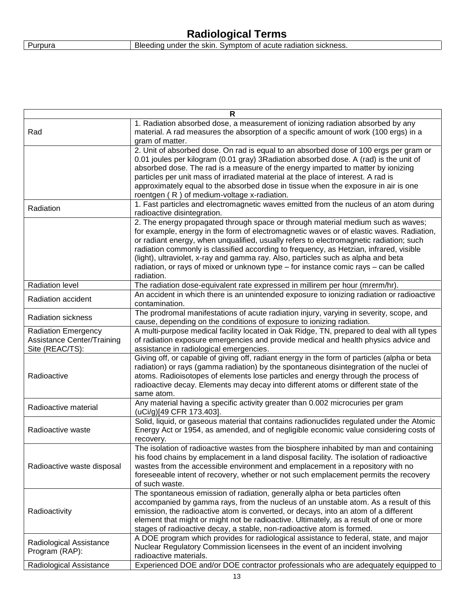|         | <b>Radiological Terms</b>                                     |
|---------|---------------------------------------------------------------|
| Purpura | Bleeding under the skin. Symptom of acute radiation sickness. |

| R                                                                           |                                                                                                                                                                                                                                                                                                                                                                                                                                                                                                                                                              |  |
|-----------------------------------------------------------------------------|--------------------------------------------------------------------------------------------------------------------------------------------------------------------------------------------------------------------------------------------------------------------------------------------------------------------------------------------------------------------------------------------------------------------------------------------------------------------------------------------------------------------------------------------------------------|--|
| Rad                                                                         | 1. Radiation absorbed dose, a measurement of ionizing radiation absorbed by any<br>material. A rad measures the absorption of a specific amount of work (100 ergs) in a<br>gram of matter.                                                                                                                                                                                                                                                                                                                                                                   |  |
|                                                                             | 2. Unit of absorbed dose. On rad is equal to an absorbed dose of 100 ergs per gram or<br>0.01 joules per kilogram (0.01 gray) 3Radiation absorbed dose. A (rad) is the unit of<br>absorbed dose. The rad is a measure of the energy imparted to matter by ionizing<br>particles per unit mass of irradiated material at the place of interest. A rad is                                                                                                                                                                                                      |  |
|                                                                             | approximately equal to the absorbed dose in tissue when the exposure in air is one<br>roentgen (R) of medium-voltage x-radiation.                                                                                                                                                                                                                                                                                                                                                                                                                            |  |
| Radiation                                                                   | 1. Fast particles and electromagnetic waves emitted from the nucleus of an atom during<br>radioactive disintegration.                                                                                                                                                                                                                                                                                                                                                                                                                                        |  |
|                                                                             | 2. The energy propagated through space or through material medium such as waves;<br>for example, energy in the form of electromagnetic waves or of elastic waves. Radiation,<br>or radiant energy, when unqualified, usually refers to electromagnetic radiation; such<br>radiation commonly is classified according to frequency, as Hetzian, infrared, visible<br>(light), ultraviolet, x-ray and gamma ray. Also, particles such as alpha and beta<br>radiation, or rays of mixed or unknown type – for instance comic rays – can be called<br>radiation. |  |
| <b>Radiation level</b>                                                      | The radiation dose-equivalent rate expressed in millirem per hour (mrerm/hr).                                                                                                                                                                                                                                                                                                                                                                                                                                                                                |  |
| Radiation accident                                                          | An accident in which there is an unintended exposure to ionizing radiation or radioactive<br>contamination.                                                                                                                                                                                                                                                                                                                                                                                                                                                  |  |
| <b>Radiation sickness</b>                                                   | The prodromal manifestations of acute radiation injury, varying in severity, scope, and<br>cause, depending on the conditions of exposure to ionizing radiation.                                                                                                                                                                                                                                                                                                                                                                                             |  |
| <b>Radiation Emergency</b><br>Assistance Center/Training<br>Site (REAC/TS): | A multi-purpose medical facility located in Oak Ridge, TN, prepared to deal with all types<br>of radiation exposure emergencies and provide medical and health physics advice and<br>assistance in radiological emergencies.                                                                                                                                                                                                                                                                                                                                 |  |
| Radioactive                                                                 | Giving off, or capable of giving off, radiant energy in the form of particles (alpha or beta<br>radiation) or rays (gamma radiation) by the spontaneous disintegration of the nuclei of<br>atoms. Radioisotopes of elements lose particles and energy through the process of<br>radioactive decay. Elements may decay into different atoms or different state of the<br>same atom.                                                                                                                                                                           |  |
| Radioactive material                                                        | Any material having a specific activity greater than 0.002 microcuries per gram<br>(uCi/g)[49 CFR 173.403].                                                                                                                                                                                                                                                                                                                                                                                                                                                  |  |
| Radioactive waste                                                           | Solid, liquid, or gaseous material that contains radionuclides regulated under the Atomic<br>Energy Act or 1954, as amended, and of negligible economic value considering costs of<br>recovery.                                                                                                                                                                                                                                                                                                                                                              |  |
| Radioactive waste disposal                                                  | The isolation of radioactive wastes from the biosphere inhabited by man and containing<br>his food chains by emplacement in a land disposal facility. The isolation of radioactive<br>wastes from the accessible environment and emplacement in a repository with no<br>foreseeable intent of recovery, whether or not such emplacement permits the recovery<br>of such waste.                                                                                                                                                                               |  |
| Radioactivity                                                               | The spontaneous emission of radiation, generally alpha or beta particles often<br>accompanied by gamma rays, from the nucleus of an unstable atom. As a result of this<br>emission, the radioactive atom is converted, or decays, into an atom of a different<br>element that might or might not be radioactive. Ultimately, as a result of one or more<br>stages of radioactive decay, a stable, non-radioactive atom is formed.                                                                                                                            |  |
| Radiological Assistance<br>Program (RAP):                                   | A DOE program which provides for radiological assistance to federal, state, and major<br>Nuclear Regulatory Commission licensees in the event of an incident involving<br>radioactive materials.                                                                                                                                                                                                                                                                                                                                                             |  |
| Radiological Assistance                                                     | Experienced DOE and/or DOE contractor professionals who are adequately equipped to                                                                                                                                                                                                                                                                                                                                                                                                                                                                           |  |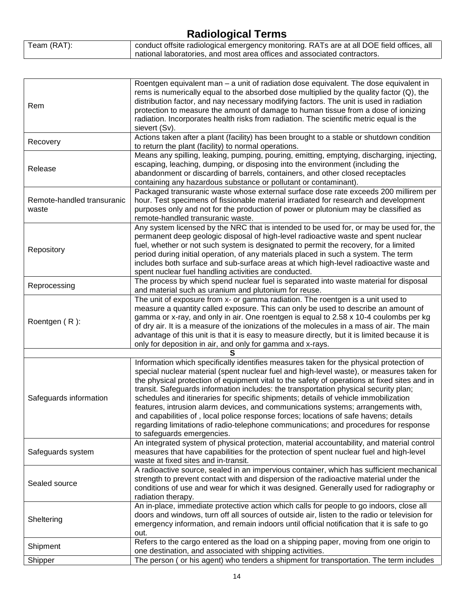|             | $\ldots$                                                                                  |
|-------------|-------------------------------------------------------------------------------------------|
| Team (RAT): | conduct offsite radiological emergency monitoring. RATs are at all DOE field offices, all |
|             | national laboratories, and most area offices and associated contractors.                  |

 $\overline{\phantom{a}}$ 

| Rem                                 | Roentgen equivalent man - a unit of radiation dose equivalent. The dose equivalent in<br>rems is numerically equal to the absorbed dose multiplied by the quality factor (Q), the<br>distribution factor, and nay necessary modifying factors. The unit is used in radiation<br>protection to measure the amount of damage to human tissue from a dose of ionizing<br>radiation. Incorporates health risks from radiation. The scientific metric equal is the<br>sievert (Sv).                                                                                                                                                                                                                                                                                         |
|-------------------------------------|------------------------------------------------------------------------------------------------------------------------------------------------------------------------------------------------------------------------------------------------------------------------------------------------------------------------------------------------------------------------------------------------------------------------------------------------------------------------------------------------------------------------------------------------------------------------------------------------------------------------------------------------------------------------------------------------------------------------------------------------------------------------|
| Recovery                            | Actions taken after a plant (facility) has been brought to a stable or shutdown condition<br>to return the plant (facility) to normal operations.                                                                                                                                                                                                                                                                                                                                                                                                                                                                                                                                                                                                                      |
| Release                             | Means any spilling, leaking, pumping, pouring, emitting, emptying, discharging, injecting,<br>escaping, leaching, dumping, or disposing into the environment (including the<br>abandonment or discarding of barrels, containers, and other closed receptacles<br>containing any hazardous substance or pollutant or contaminant).                                                                                                                                                                                                                                                                                                                                                                                                                                      |
| Remote-handled transuranic<br>waste | Packaged transuranic waste whose external surface dose rate exceeds 200 millirem per<br>hour. Test specimens of fissionable material irradiated for research and development<br>purposes only and not for the production of power or plutonium may be classified as<br>remote-handled transuranic waste.                                                                                                                                                                                                                                                                                                                                                                                                                                                               |
| Repository                          | Any system licensed by the NRC that is intended to be used for, or may be used for, the<br>permanent deep geologic disposal of high-level radioactive waste and spent nuclear<br>fuel, whether or not such system is designated to permit the recovery, for a limited<br>period during initial operation, of any materials placed in such a system. The term<br>includes both surface and sub-surface areas at which high-level radioactive waste and<br>spent nuclear fuel handling activities are conducted.                                                                                                                                                                                                                                                         |
| Reprocessing                        | The process by which spend nuclear fuel is separated into waste material for disposal<br>and material such as uranium and plutonium for reuse.                                                                                                                                                                                                                                                                                                                                                                                                                                                                                                                                                                                                                         |
| Roentgen (R):                       | The unit of exposure from x- or gamma radiation. The roentgen is a unit used to<br>measure a quantity called exposure. This can only be used to describe an amount of<br>gamma or x-ray, and only in air. One roentgen is equal to 2.58 x 10-4 coulombs per kg<br>of dry air. It is a measure of the ionizations of the molecules in a mass of air. The main<br>advantage of this unit is that it is easy to measure directly, but it is limited because it is<br>only for deposition in air, and only for gamma and x-rays.                                                                                                                                                                                                                                           |
|                                     |                                                                                                                                                                                                                                                                                                                                                                                                                                                                                                                                                                                                                                                                                                                                                                        |
| Safeguards information              | Information which specifically identifies measures taken for the physical protection of<br>special nuclear material (spent nuclear fuel and high-level waste), or measures taken for<br>the physical protection of equipment vital to the safety of operations at fixed sites and in<br>transit. Safeguards information includes: the transportation physical security plan;<br>schedules and itineraries for specific shipments; details of vehicle immobilization<br>features, intrusion alarm devices, and communications systems; arrangements with,<br>and capabilities of, local police response forces; locations of safe havens; details<br>regarding limitations of radio-telephone communications; and procedures for response<br>to safeguards emergencies. |
| Safeguards system                   | An integrated system of physical protection, material accountability, and material control<br>measures that have capabilities for the protection of spent nuclear fuel and high-level<br>waste at fixed sites and in-transit.                                                                                                                                                                                                                                                                                                                                                                                                                                                                                                                                          |
| Sealed source                       | A radioactive source, sealed in an impervious container, which has sufficient mechanical<br>strength to prevent contact with and dispersion of the radioactive material under the<br>conditions of use and wear for which it was designed. Generally used for radiography or<br>radiation therapy.                                                                                                                                                                                                                                                                                                                                                                                                                                                                     |
| Sheltering                          | An in-place, immediate protective action which calls for people to go indoors, close all<br>doors and windows, turn off all sources of outside air, listen to the radio or television for<br>emergency information, and remain indoors until official notification that it is safe to go<br>out.                                                                                                                                                                                                                                                                                                                                                                                                                                                                       |
| Shipment                            | Refers to the cargo entered as the load on a shipping paper, moving from one origin to<br>one destination, and associated with shipping activities.                                                                                                                                                                                                                                                                                                                                                                                                                                                                                                                                                                                                                    |
| Shipper                             | The person ( or his agent) who tenders a shipment for transportation. The term includes                                                                                                                                                                                                                                                                                                                                                                                                                                                                                                                                                                                                                                                                                |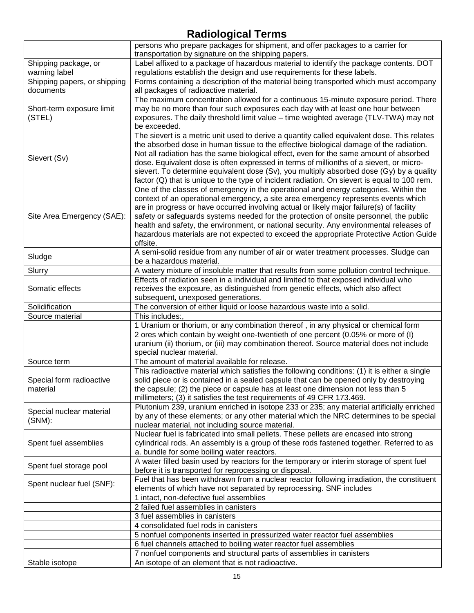|                              | 1.1<br>persons who prepare packages for shipment, and offer packages to a carrier for                                                    |
|------------------------------|------------------------------------------------------------------------------------------------------------------------------------------|
|                              | transportation by signature on the shipping papers.                                                                                      |
| Shipping package, or         | Label affixed to a package of hazardous material to identify the package contents. DOT                                                   |
| warning label                | regulations establish the design and use requirements for these labels.                                                                  |
| Shipping papers, or shipping | Forms containing a description of the material being transported which must accompany                                                    |
| documents                    | all packages of radioactive material.                                                                                                    |
|                              | The maximum concentration allowed for a continuous 15-minute exposure period. There                                                      |
| Short-term exposure limit    | may be no more than four such exposures each day with at least one hour between                                                          |
| (STEL)                       | exposures. The daily threshold limit value - time weighted average (TLV-TWA) may not                                                     |
|                              | be exceeded.                                                                                                                             |
|                              | The sievert is a metric unit used to derive a quantity called equivalent dose. This relates                                              |
|                              | the absorbed dose in human tissue to the effective biological damage of the radiation.                                                   |
|                              | Not all radiation has the same biological effect, even for the same amount of absorbed                                                   |
| Sievert (Sv)                 | dose. Equivalent dose is often expressed in terms of millionths of a sievert, or micro-                                                  |
|                              | sievert. To determine equivalent dose (Sv), you multiply absorbed dose (Gy) by a quality                                                 |
|                              | factor (Q) that is unique to the type of incident radiation. On sievert is equal to 100 rem.                                             |
|                              | One of the classes of emergency in the operational and energy categories. Within the                                                     |
|                              | context of an operational emergency, a site area emergency represents events which                                                       |
|                              | are in progress or have occurred involving actual or likely major failure(s) of facility                                                 |
| Site Area Emergency (SAE):   | safety or safeguards systems needed for the protection of onsite personnel, the public                                                   |
|                              | health and safety, the environment, or national security. Any environmental releases of                                                  |
|                              | hazardous materials are not expected to exceed the appropriate Protective Action Guide                                                   |
|                              | offsite.                                                                                                                                 |
|                              | A semi-solid residue from any number of air or water treatment processes. Sludge can                                                     |
| Sludge                       | be a hazardous material.                                                                                                                 |
| Slurry                       | A watery mixture of insoluble matter that results from some pollution control technique.                                                 |
|                              | Effects of radiation seen in a individual and limited to that exposed individual who                                                     |
| Somatic effects              | receives the exposure, as distinguished from genetic effects, which also affect                                                          |
|                              | subsequent, unexposed generations.                                                                                                       |
| Solidification               | The conversion of either liquid or loose hazardous waste into a solid.                                                                   |
| Source material              | This includes:,                                                                                                                          |
|                              | 1 Uranium or thorium, or any combination thereof, in any physical or chemical form                                                       |
|                              | 2 ores which contain by weight one-twentieth of one percent (0.05% or more of (I)                                                        |
|                              | uranium (ii) thorium, or (iii) may combination thereof. Source material does not include                                                 |
|                              | special nuclear material.                                                                                                                |
| Source term                  | The amount of material available for release.                                                                                            |
|                              | This radioactive material which satisfies the following conditions: (1) it is either a single                                            |
| Special form radioactive     | solid piece or is contained in a sealed capsule that can be opened only by destroying                                                    |
| material                     | the capsule; (2) the piece or capsule has at least one dimension not less than 5                                                         |
|                              | millimeters; (3) it satisfies the test requirements of 49 CFR 173.469.                                                                   |
| Special nuclear material     | Plutonium 239, uranium enriched in isotope 233 or 235; any material artificially enriched                                                |
| $(SNM)$ :                    | by any of these elements; or any other material which the NRC determines to be special                                                   |
|                              | nuclear material, not including source material.<br>Nuclear fuel is fabricated into small pellets. These pellets are encased into strong |
|                              | cylindrical rods. An assembly is a group of these rods fastened together. Referred to as                                                 |
| Spent fuel assemblies        | a. bundle for some boiling water reactors.                                                                                               |
|                              | A water filled basin used by reactors for the temporary or interim storage of spent fuel                                                 |
| Spent fuel storage pool      | before it is transported for reprocessing or disposal.                                                                                   |
|                              | Fuel that has been withdrawn from a nuclear reactor following irradiation, the constituent                                               |
| Spent nuclear fuel (SNF):    | elements of which have not separated by reprocessing. SNF includes                                                                       |
|                              | 1 intact, non-defective fuel assemblies                                                                                                  |
|                              | 2 failed fuel assemblies in canisters                                                                                                    |
|                              | 3 fuel assemblies in canisters                                                                                                           |
|                              | 4 consolidated fuel rods in canisters                                                                                                    |
|                              | 5 nonfuel components inserted in pressurized water reactor fuel assemblies                                                               |
|                              | 6 fuel channels attached to boiling water reactor fuel assemblies                                                                        |
|                              |                                                                                                                                          |
|                              |                                                                                                                                          |
| Stable isotope               | 7 nonfuel components and structural parts of assemblies in canisters<br>An isotope of an element that is not radioactive.                |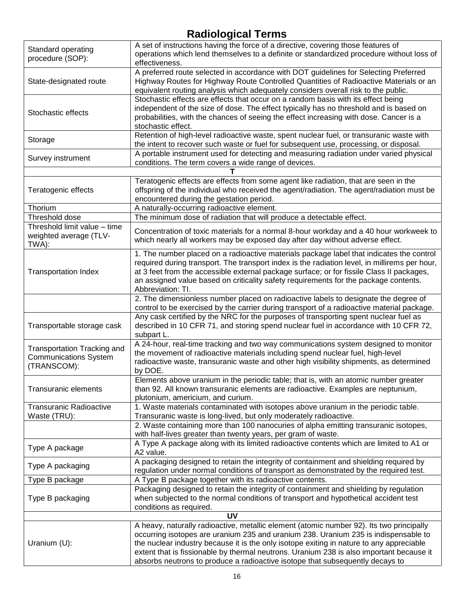|                                    | . <u>.</u>                                                                                    |
|------------------------------------|-----------------------------------------------------------------------------------------------|
| Standard operating                 | A set of instructions having the force of a directive, covering those features of             |
| procedure (SOP):                   | operations which lend themselves to a definite or standardized procedure without loss of      |
|                                    | effectiveness.                                                                                |
|                                    | A preferred route selected in accordance with DOT guidelines for Selecting Preferred          |
| State-designated route             | Highway Routes for Highway Route Controlled Quantities of Radioactive Materials or an         |
|                                    | equivalent routing analysis which adequately considers overall risk to the public.            |
|                                    | Stochastic effects are effects that occur on a random basis with its effect being             |
|                                    | independent of the size of dose. The effect typically has no threshold and is based on        |
| Stochastic effects                 | probabilities, with the chances of seeing the effect increasing with dose. Cancer is a        |
|                                    | stochastic effect.                                                                            |
|                                    |                                                                                               |
| Storage                            | Retention of high-level radioactive waste, spent nuclear fuel, or transuranic waste with      |
|                                    | the intent to recover such waste or fuel for subsequent use, processing, or disposal.         |
| Survey instrument                  | A portable instrument used for detecting and measuring radiation under varied physical        |
|                                    | conditions. The term covers a wide range of devices.                                          |
|                                    |                                                                                               |
|                                    | Teratogenic effects are effects from some agent like radiation, that are seen in the          |
| Teratogenic effects                | offspring of the individual who received the agent/radiation. The agent/radiation must be     |
|                                    | encountered during the gestation period.                                                      |
| Thorium                            | A naturally-occurring radioactive element.                                                    |
| Threshold dose                     | The minimum dose of radiation that will produce a detectable effect.                          |
|                                    |                                                                                               |
| Threshold limit value - time       | Concentration of toxic materials for a normal 8-hour workday and a 40 hour workweek to        |
| weighted average (TLV-             | which nearly all workers may be exposed day after day without adverse effect.                 |
| TWA):                              |                                                                                               |
|                                    | 1. The number placed on a radioactive materials package label that indicates the control      |
|                                    | required during transport. The transport index is the radiation level, in millirems per hour, |
| <b>Transportation Index</b>        | at 3 feet from the accessible external package surface; or for fissile Class II packages,     |
|                                    | an assigned value based on criticality safety requirements for the package contents.          |
|                                    | Abbreviation: TI.                                                                             |
|                                    | 2. The dimensionless number placed on radioactive labels to designate the degree of           |
|                                    | control to be exercised by the carrier during transport of a radioactive material package.    |
|                                    | Any cask certified by the NRC for the purposes of transporting spent nuclear fuel as          |
|                                    |                                                                                               |
| Transportable storage cask         | described in 10 CFR 71, and storing spend nuclear fuel in accordance with 10 CFR 72,          |
|                                    | subpart L.                                                                                    |
| <b>Transportation Tracking and</b> | A 24-hour, real-time tracking and two way communications system designed to monitor           |
| <b>Communications System</b>       | the movement of radioactive materials including spend nuclear fuel, high-level                |
| (TRANSCOM):                        | radioactive waste, transuranic waste and other high visibility shipments, as determined       |
|                                    | by DOE.                                                                                       |
|                                    | Elements above uranium in the periodic table; that is, with an atomic number greater          |
| Transuranic elements               | than 92. All known transuranic elements are radioactive. Examples are neptunium,              |
|                                    | plutonium, americium, and curium.                                                             |
| <b>Transuranic Radioactive</b>     | 1. Waste materials contaminated with isotopes above uranium in the periodic table.            |
| Waste (TRU):                       | Transuranic waste is long-lived, but only moderately radioactive.                             |
|                                    | 2. Waste containing more than 100 nanocuries of alpha emitting transuranic isotopes,          |
|                                    |                                                                                               |
|                                    | with half-lives greater than twenty years, per gram of waste.                                 |
| Type A package                     | A Type A package along with its limited radioactive contents which are limited to A1 or       |
|                                    | A2 value.                                                                                     |
| Type A packaging                   | A packaging designed to retain the integrity of containment and shielding required by         |
|                                    | regulation under normal conditions of transport as demonstrated by the required test.         |
| Type B package                     | A Type B package together with its radioactive contents.                                      |
|                                    | Packaging designed to retain the integrity of containment and shielding by regulation         |
| Type B packaging                   | when subjected to the normal conditions of transport and hypothetical accident test           |
|                                    | conditions as required.                                                                       |
|                                    | <b>UV</b>                                                                                     |
|                                    |                                                                                               |
|                                    | A heavy, naturally radioactive, metallic element (atomic number 92). Its two principally      |
|                                    | occurring isotopes are uranium 235 and uranium 238. Uranium 235 is indispensable to           |
| Uranium (U):                       | the nuclear industry because it is the only isotope exiting in nature to any appreciable      |
|                                    | extent that is fissionable by thermal neutrons. Uranium 238 is also important because it      |
|                                    | absorbs neutrons to produce a radioactive isotope that subsequently decays to                 |